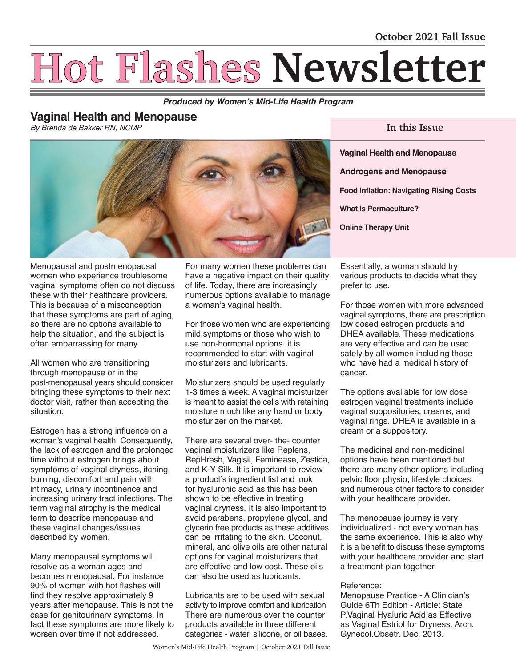# **Hot Flashes Newsletter**

**Produced by Women's Mid-Life Health Program**

# **Vaginal Health and Menopause**

*By Brenda de Bakker RN, NCMP*



**In this Issue** 

**Vaginal Health and Menopause Androgens and Menopause Food Inflation: Navigating Rising Costs What is Permaculture? Online Therapy Unit**

Menopausal and postmenopausal women who experience troublesome vaginal symptoms often do not discuss these with their healthcare providers. This is because of a misconception that these symptoms are part of aging, so there are no options available to help the situation, and the subject is often embarrassing for many.

All women who are transitioning through menopause or in the post-menopausal years should consider bringing these symptoms to their next doctor visit, rather than accepting the situation.

Estrogen has a strong influence on a woman's vaginal health. Consequently, the lack of estrogen and the prolonged time without estrogen brings about symptoms of vaginal dryness, itching, burning, discomfort and pain with intimacy, urinary incontinence and increasing urinary tract infections. The term vaginal atrophy is the medical term to describe menopause and these vaginal changes/issues described by women.

Many menopausal symptoms will resolve as a woman ages and becomes menopausal. For instance 90% of women with hot flashes will find they resolve approximately 9 years after menopause. This is not the case for genitourinary symptoms. In fact these symptoms are more likely to worsen over time if not addressed.

For many women these problems can have a negative impact on their quality of life. Today, there are increasingly numerous options available to manage a woman's vaginal health.

For those women who are experiencing mild symptoms or those who wish to use non-hormonal options it is recommended to start with vaginal moisturizers and lubricants.

Moisturizers should be used regularly 1-3 times a week. A vaginal moisturizer is meant to assist the cells with retaining moisture much like any hand or body moisturizer on the market.

There are several over- the- counter vaginal moisturizers like Replens, RepHresh, Vagisil, Feminease, Zestica, and K-Y Silk. It is important to review a product's ingredient list and look for hyaluronic acid as this has been shown to be effective in treating vaginal dryness. It is also important to avoid parabens, propylene glycol, and glycerin free products as these additives can be irritating to the skin. Coconut, mineral, and olive oils are other natural options for vaginal moisturizers that are effective and low cost. These oils can also be used as lubricants.

Lubricants are to be used with sexual activity to improve comfort and lubrication. There are numerous over the counter products available in three different categories - water, silicone, or oil bases. Essentially, a woman should try various products to decide what they prefer to use.

For those women with more advanced vaginal symptoms, there are prescription low dosed estrogen products and DHEA available. These medications are very effective and can be used safely by all women including those who have had a medical history of cancer.

The options available for low dose estrogen vaginal treatments include vaginal suppositories, creams, and vaginal rings. DHEA is available in a cream or a suppository.

The medicinal and non-medicinal options have been mentioned but there are many other options including pelvic floor physio, lifestyle choices, and numerous other factors to consider with your healthcare provider.

The menopause journey is very individualized - not every woman has the same experience. This is also why it is a benefit to discuss these symptoms with your healthcare provider and start a treatment plan together.

## Reference:

Menopause Practice - A Clinician's Guide 6Th Edition - Article: State P.Vaginal Hyaluric Acid as Effective as Vaginal Estriol for Dryness. Arch. Gynecol.Obsetr. Dec, 2013.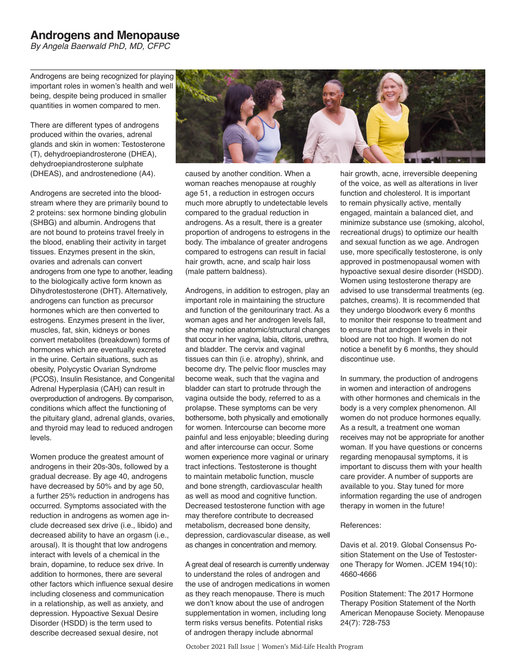# **Androgens and Menopause**

*By Angela Baerwald PhD, MD, CFPC*

Androgens are being recognized for playing important roles in women's health and well being, despite being produced in smaller quantities in women compared to men.

There are different types of androgens produced within the ovaries, adrenal glands and skin in women: Testosterone (T), dehydroepiandrosterone (DHEA), dehydroepiandrosterone sulphate (DHEAS), and androstenedione (A4).

Androgens are secreted into the bloodstream where they are primarily bound to 2 proteins: sex hormone binding globulin (SHBG) and albumin. Androgens that are not bound to proteins travel freely in the blood, enabling their activity in target tissues. Enzymes present in the skin, ovaries and adrenals can convert androgens from one type to another, leading to the biologically active form known as Dihydrotestosterone (DHT). Alternatively, androgens can function as precursor hormones which are then converted to estrogens. Enzymes present in the liver, muscles, fat, skin, kidneys or bones convert metabolites (breakdown) forms of hormones which are eventually excreted in the urine. Certain situations, such as obesity, Polycystic Ovarian Syndrome (PCOS), Insulin Resistance, and Congenital Adrenal Hyperplasia (CAH) can result in overproduction of androgens. By comparison, conditions which affect the functioning of the pituitary gland, adrenal glands, ovaries, and thyroid may lead to reduced androgen levels.

Women produce the greatest amount of androgens in their 20s-30s, followed by a gradual decrease. By age 40, androgens have decreased by 50% and by age 50, a further 25% reduction in androgens has occurred. Symptoms associated with the reduction in androgens as women age include decreased sex drive (i.e., libido) and decreased ability to have an orgasm (i.e., arousal). It is thought that low androgens interact with levels of a chemical in the brain, dopamine, to reduce sex drive. In addition to hormones, there are several other factors which influence sexual desire including closeness and communication in a relationship, as well as anxiety, and depression. Hypoactive Sexual Desire Disorder (HSDD) is the term used to describe decreased sexual desire, not



caused by another condition. When a woman reaches menopause at roughly age 51, a reduction in estrogen occurs much more abruptly to undetectable levels compared to the gradual reduction in androgens. As a result, there is a greater proportion of androgens to estrogens in the body. The imbalance of greater androgens compared to estrogens can result in facial hair growth, acne, and scalp hair loss (male pattern baldness).

Androgens, in addition to estrogen, play an important role in maintaining the structure and function of the genitourinary tract. As a woman ages and her androgen levels fall, she may notice anatomic/structural changes that occur in her vagina, labia, clitoris, urethra, and bladder. The cervix and vaginal tissues can thin (i.e. atrophy), shrink, and become dry. The pelvic floor muscles may become weak, such that the vagina and bladder can start to protrude through the vagina outside the body, referred to as a prolapse. These symptoms can be very bothersome, both physically and emotionally for women. Intercourse can become more painful and less enjoyable; bleeding during and after intercourse can occur. Some women experience more vaginal or urinary tract infections. Testosterone is thought to maintain metabolic function, muscle and bone strength, cardiovascular health as well as mood and cognitive function. Decreased testosterone function with age may therefore contribute to decreased metabolism, decreased bone density, depression, cardiovascular disease, as well as changes in concentration and memory.

A great deal of research is currently underway to understand the roles of androgen and the use of androgen medications in women as they reach menopause. There is much we don't know about the use of androgen supplementation in women, including long term risks versus benefits. Potential risks of androgen therapy include abnormal

hair growth, acne, irreversible deepening of the voice, as well as alterations in liver function and cholesterol. It is important to remain physically active, mentally engaged, maintain a balanced diet, and minimize substance use (smoking, alcohol, recreational drugs) to optimize our health and sexual function as we age. Androgen use, more specifically testosterone, is only approved in postmenopausal women with hypoactive sexual desire disorder (HSDD). Women using testosterone therapy are advised to use transdermal treatments (eg. patches, creams). It is recommended that they undergo bloodwork every 6 months to monitor their response to treatment and to ensure that androgen levels in their blood are not too high. If women do not notice a benefit by 6 months, they should discontinue use.

In summary, the production of androgens in women and interaction of androgens with other hormones and chemicals in the body is a very complex phenomenon. All women do not produce hormones equally. As a result, a treatment one woman receives may not be appropriate for another woman. If you have questions or concerns regarding menopausal symptoms, it is important to discuss them with your health care provider. A number of supports are available to you. Stay tuned for more information regarding the use of androgen therapy in women in the future!

#### References:

Davis et al. 2019. Global Consensus Position Statement on the Use of Testosterone Therapy for Women. JCEM 194(10): 4660-4666

Position Statement: The 2017 Hormone Therapy Position Statement of the North American Menopause Society. Menopause 24(7): 728-753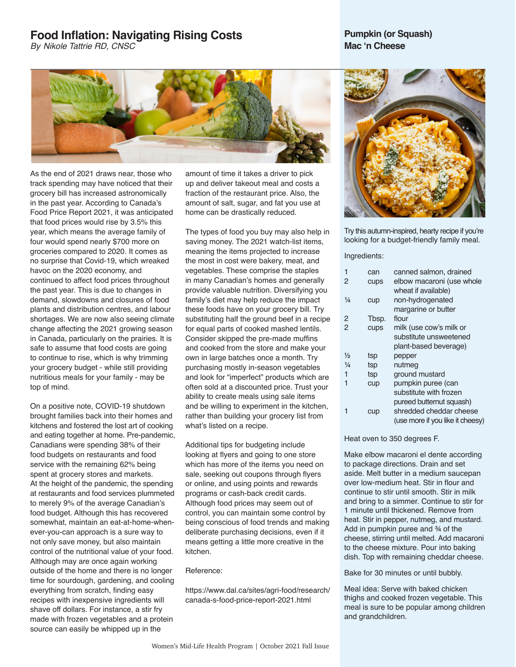## **Food Inflation: Navigating Rising Costs**

*By Nikole Tattrie RD, CNSC*

## **Pumpkin (or Squash) Mac 'n Cheese**



As the end of 2021 draws near, those who track spending may have noticed that their grocery bill has increased astronomically in the past year. According to Canada's Food Price Report 2021, it was anticipated that food prices would rise by 3.5% this year, which means the average family of four would spend nearly \$700 more on groceries compared to 2020. It comes as no surprise that Covid-19, which wreaked havoc on the 2020 economy, and continued to affect food prices throughout the past year. This is due to changes in demand, slowdowns and closures of food plants and distribution centres, and labour shortages. We are now also seeing climate change affecting the 2021 growing season in Canada, particularly on the prairies. It is safe to assume that food costs are going to continue to rise, which is why trimming your grocery budget - while still providing nutritious meals for your family - may be top of mind.

On a positive note, COVID-19 shutdown brought families back into their homes and kitchens and fostered the lost art of cooking and eating together at home. Pre-pandemic, Canadians were spending 38% of their food budgets on restaurants and food service with the remaining 62% being spent at grocery stores and markets. At the height of the pandemic, the spending at restaurants and food services plummeted to merely 9% of the average Canadian's food budget. Although this has recovered somewhat, maintain an eat-at-home-whenever-you-can approach is a sure way to not only save money, but also maintain control of the nutritional value of your food. Although may are once again working outside of the home and there is no longer time for sourdough, gardening, and cooling everything from scratch, finding easy recipes with inexpensive ingredients will shave off dollars. For instance, a stir fry made with frozen vegetables and a protein source can easily be whipped up in the

amount of time it takes a driver to pick up and deliver takeout meal and costs a fraction of the restaurant price. Also, the amount of salt, sugar, and fat you use at home can be drastically reduced.

The types of food you buy may also help in saving money. The 2021 watch-list items, meaning the items projected to increase the most in cost were bakery, meat, and vegetables. These comprise the staples in many Canadian's homes and generally provide valuable nutrition. Diversifying you family's diet may help reduce the impact these foods have on your grocery bill. Try substituting half the ground beef in a recipe for equal parts of cooked mashed lentils. Consider skipped the pre-made muffins and cooked from the store and make your own in large batches once a month. Try purchasing mostly in-season vegetables and look for "imperfect" products which are often sold at a discounted price. Trust your ability to create meals using sale items and be willing to experiment in the kitchen, rather than building your grocery list from what's listed on a recipe.

Additional tips for budgeting include looking at flyers and going to one store which has more of the items you need on sale, seeking out coupons through flyers or online, and using points and rewards programs or cash-back credit cards. Although food prices may seem out of control, you can maintain some control by being conscious of food trends and making deliberate purchasing decisions, even if it means getting a little more creative in the kitchen.

Reference:

https://www.dal.ca/sites/agri-food/research/ canada-s-food-price-report-2021.html



Try this autumn-inspired, hearty recipe if you're looking for a budget-friendly family meal.

#### Ingredients:

| 1              | can   | canned salmon, drained           |
|----------------|-------|----------------------------------|
| $\overline{2}$ | cups  | elbow macaroni (use whole        |
|                |       | wheat if available)              |
| $\frac{1}{4}$  | cup   | non-hydrogenated                 |
|                |       | margarine or butter              |
| 2              | Tbsp. | flour                            |
| $\overline{2}$ | cups  | milk (use cow's milk or          |
|                |       | substitute unsweetened           |
|                |       | plant-based beverage)            |
| $\frac{1}{2}$  | tsp   | pepper                           |
| $\frac{1}{4}$  | tsp   | nutmeg                           |
| 1              | tsp   | ground mustard                   |
| 1              | cup   | pumpkin puree (can               |
|                |       | substitute with frozen           |
|                |       | pureed butternut squash)         |
|                | cup   | shredded cheddar cheese          |
|                |       | (use more if you like it cheesy) |

#### Heat oven to 350 degrees F.

Make elbow macaroni el dente according to package directions. Drain and set aside. Melt butter in a medium saucepan over low-medium heat. Stir in flour and continue to stir until smooth. Stir in milk and bring to a simmer. Continue to stir for 1 minute until thickened. Remove from heat. Stir in pepper, nutmeg, and mustard. Add in pumpkin puree and ¾ of the cheese, stirring until melted. Add macaroni to the cheese mixture. Pour into baking dish. Top with remaining cheddar cheese.

Bake for 30 minutes or until bubbly.

Meal idea: Serve with baked chicken thighs and cooked frozen vegetable. This meal is sure to be popular among children and grandchildren.